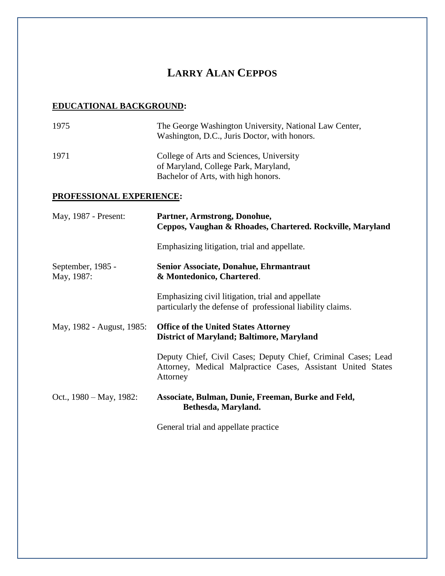## **LARRY ALAN CEPPOS**

## **EDUCATIONAL BACKGROUND:**

| 1975                            | The George Washington University, National Law Center,<br>Washington, D.C., Juris Doctor, with honors.                                    |
|---------------------------------|-------------------------------------------------------------------------------------------------------------------------------------------|
| 1971                            | College of Arts and Sciences, University<br>of Maryland, College Park, Maryland,<br>Bachelor of Arts, with high honors.                   |
| PROFESSIONAL EXPERIENCE:        |                                                                                                                                           |
| May, 1987 - Present:            | Partner, Armstrong, Donohue,<br>Ceppos, Vaughan & Rhoades, Chartered. Rockville, Maryland                                                 |
|                                 | Emphasizing litigation, trial and appellate.                                                                                              |
| September, 1985 -<br>May, 1987: | Senior Associate, Donahue, Ehrmantraut<br>& Montedonico, Chartered.                                                                       |
|                                 | Emphasizing civil litigation, trial and appellate<br>particularly the defense of professional liability claims.                           |
| May, 1982 - August, 1985:       | <b>Office of the United States Attorney</b><br><b>District of Maryland; Baltimore, Maryland</b>                                           |
|                                 | Deputy Chief, Civil Cases; Deputy Chief, Criminal Cases; Lead<br>Attorney, Medical Malpractice Cases, Assistant United States<br>Attorney |
| Oct., 1980 – May, 1982:         | Associate, Bulman, Dunie, Freeman, Burke and Feld,<br>Bethesda, Maryland.                                                                 |
|                                 | General trial and appellate practice                                                                                                      |